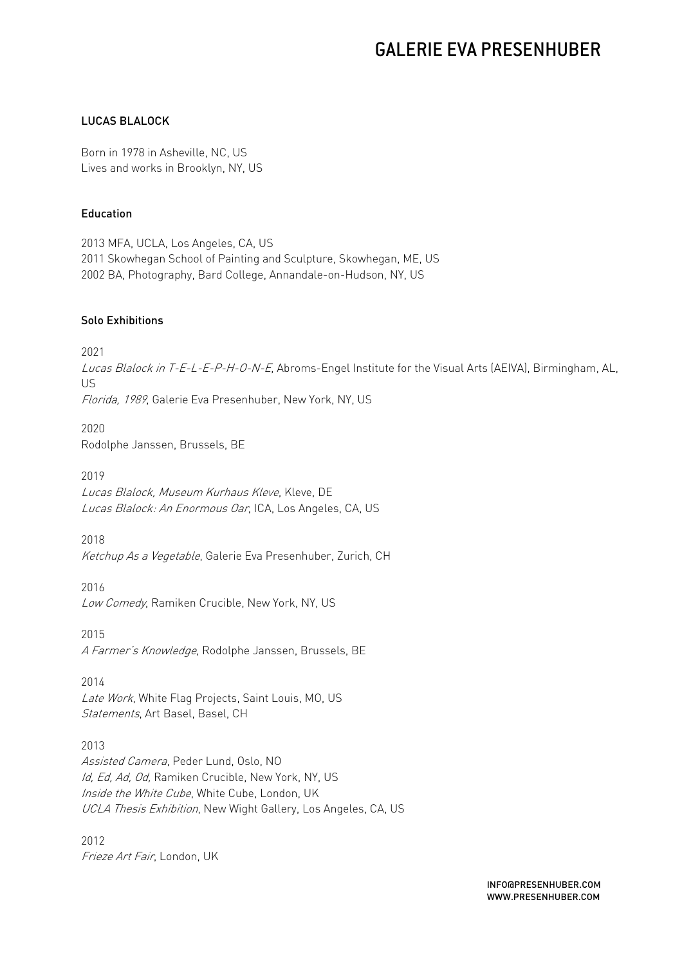#### LUCAS BLALOCK

Born in 1978 in Asheville, NC, US Lives and works in Brooklyn, NY, US

#### Education

2013 MFA, UCLA, Los Angeles, CA, US 2011 Skowhegan School of Painting and Sculpture, Skowhegan, ME, US 2002 BA, Photography, Bard College, Annandale-on-Hudson, NY, US

#### Solo Exhibitions

2021

Lucas Blalock in T-E-L-E-P-H-O-N-E, Abroms-Engel Institute for the Visual Arts (AEIVA), Birmingham, AL, US Florida, 1989, Galerie Eva Presenhuber, New York, NY, US

2020 Rodolphe Janssen, Brussels, BE

2019 Lucas Blalock, Museum Kurhaus Kleve, Kleve, DE Lucas Blalock: An Enormous Oar, ICA, Los Angeles, CA, US

2018 Ketchup As a Vegetable, Galerie Eva Presenhuber, Zurich, CH

2016 Low Comedy, Ramiken Crucible, New York, NY, US

2015 A Farmer's Knowledge, Rodolphe Janssen, Brussels, BE

2014 Late Work, White Flag Projects, Saint Louis, MO, US Statements, Art Basel, Basel, CH

2013 Assisted Camera, Peder Lund, Oslo, NO Id, Ed, Ad, Od, Ramiken Crucible, New York, NY, US Inside the White Cube, White Cube, London, UK UCLA Thesis Exhibition, New Wight Gallery, Los Angeles, CA, US

2012 Frieze Art Fair, London, UK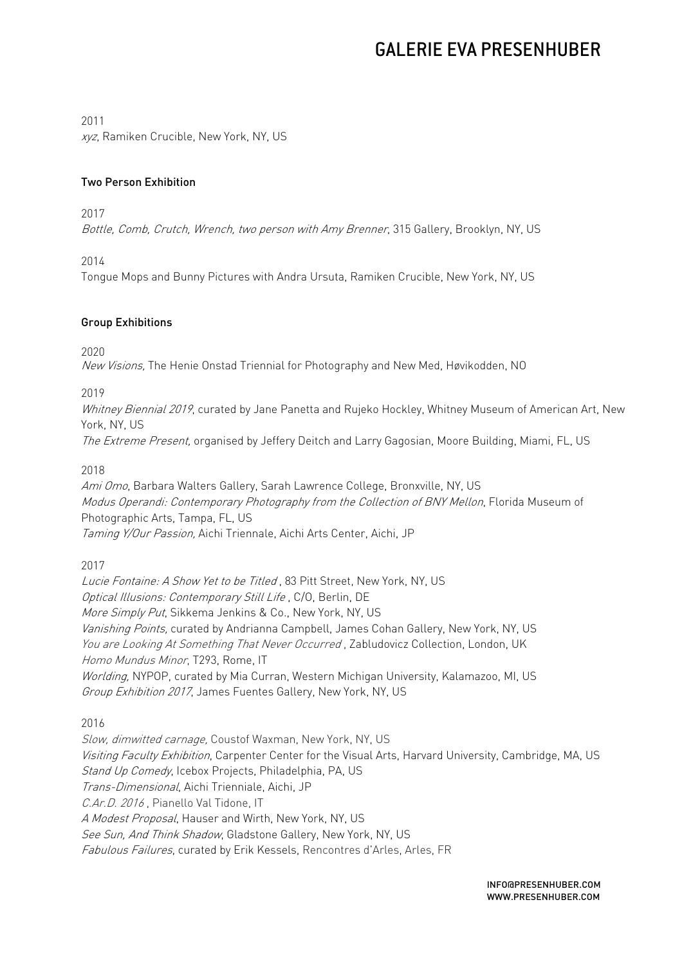2011

xyz, Ramiken Crucible, New York, NY, US

### Two Person Exhibition

2017

Bottle, Comb, Crutch, Wrench, two person with Amy Brenner, 315 Gallery, Brooklyn, NY, US

2014

Tongue Mops and Bunny Pictures with Andra Ursuta, Ramiken Crucible, New York, NY, US

### Group Exhibitions

2020

New Visions, The Henie Onstad Triennial for Photography and New Med, Høvikodden, NO

2019

Whitney Biennial 2019, curated by Jane Panetta and Rujeko Hockley, Whitney Museum of American Art, New York, NY, US

The Extreme Present, organised by Jeffery Deitch and Larry Gagosian, Moore Building, Miami, FL, US

2018

Ami Omo, Barbara Walters Gallery, Sarah Lawrence College, Bronxville, NY, US Modus Operandi: Contemporary Photography from the Collection of BNY Mellon, Florida Museum of Photographic Arts, Tampa, FL, US Taming Y/Our Passion, Aichi Triennale, Aichi Arts Center, Aichi, JP

2017

Lucie Fontaine: A Show Yet to be Titled , 83 Pitt Street, New York, NY, US Optical Illusions: Contemporary Still Life , C/O, Berlin, DE More Simply Put, Sikkema Jenkins & Co., New York, NY, US Vanishing Points, curated by Andrianna Campbell, James Cohan Gallery, New York, NY, US You are Looking At Something That Never Occurred, Zabludovicz Collection, London, UK Homo Mundus Minor, T293, Rome, IT Worlding, NYPOP, curated by Mia Curran, Western Michigan University, Kalamazoo, MI, US Group Exhibition 2017, James Fuentes Gallery, New York, NY, US

2016

Slow, dimwitted carnage, Coustof Waxman, New York, NY, US Visiting Faculty Exhibition, Carpenter Center for the Visual Arts, Harvard University, Cambridge, MA, US Stand Up Comedy, Icebox Projects, Philadelphia, PA, US Trans-Dimensional, Aichi Trienniale, Aichi, JP C.Ar.D. 2016, Pianello Val Tidone, IT A Modest Proposal, Hauser and Wirth, New York, NY, US See Sun, And Think Shadow, Gladstone Gallery, New York, NY, US Fabulous Failures, curated by Erik Kessels, Rencontres d'Arles, Arles, FR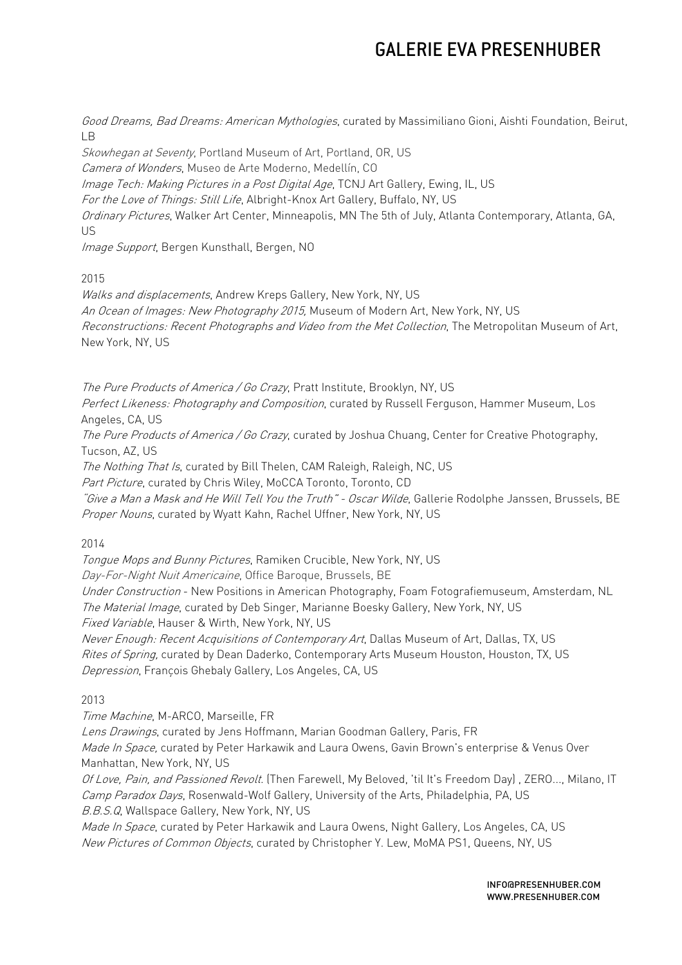Good Dreams, Bad Dreams: American Mythologies, curated by Massimiliano Gioni, Aishti Foundation, Beirut, LB

Skowhegan at Seventy, Portland Museum of Art, Portland, OR, US Camera of Wonders, Museo de Arte Moderno, Medellín, CO Image Tech: Making Pictures in a Post Digital Age, TCNJ Art Gallery, Ewing, IL, US For the Love of Things: Still Life, Albright-Knox Art Gallery, Buffalo, NY, US Ordinary Pictures, Walker Art Center, Minneapolis, MN The 5th of July, Atlanta Contemporary, Atlanta, GA, US

Image Support, Bergen Kunsthall, Bergen, NO

2015

Walks and displacements, Andrew Kreps Gallery, New York, NY, US An Ocean of Images: New Photography 2015, Museum of Modern Art, New York, NY, US Reconstructions: Recent Photographs and Video from the Met Collection, The Metropolitan Museum of Art, New York, NY, US

The Pure Products of America / Go Crazy, Pratt Institute, Brooklyn, NY, US

Perfect Likeness: Photography and Composition, curated by Russell Ferguson, Hammer Museum, Los Angeles, CA, US

The Pure Products of America / Go Crazy, curated by Joshua Chuang, Center for Creative Photography, Tucson, AZ, US

The Nothing That Is, curated by Bill Thelen, CAM Raleigh, Raleigh, NC, US

Part Picture, curated by Chris Wiley, MoCCA Toronto, Toronto, CD

"Give a Man a Mask and He Will Tell You the Truth" - Oscar Wilde, Gallerie Rodolphe Janssen, Brussels, BE Proper Nouns, curated by Wyatt Kahn, Rachel Uffner, New York, NY, US

2014

Tongue Mops and Bunny Pictures, Ramiken Crucible, New York, NY, US

Day-For-Night Nuit Americaine, Office Baroque, Brussels, BE

Under Construction - New Positions in American Photography, Foam Fotografiemuseum, Amsterdam, NL The Material Image, curated by Deb Singer, Marianne Boesky Gallery, New York, NY, US

Fixed Variable, Hauser & Wirth, New York, NY, US

Never Enough: Recent Acquisitions of Contemporary Art, Dallas Museum of Art, Dallas, TX, US Rites of Spring, curated by Dean Daderko, Contemporary Arts Museum Houston, Houston, TX, US Depression, François Ghebaly Gallery, Los Angeles, CA, US

2013

Time Machine, M-ARCO, Marseille, FR

Lens Drawings, curated by Jens Hoffmann, Marian Goodman Gallery, Paris, FR

Made In Space, curated by Peter Harkawik and Laura Owens, Gavin Brown's enterprise & Venus Over Manhattan, New York, NY, US

Of Love, Pain, and Passioned Revolt. (Then Farewell, My Beloved, 'til It's Freedom Day), ZERO..., Milano, IT Camp Paradox Days, Rosenwald-Wolf Gallery, University of the Arts, Philadelphia, PA, US B.B.S.Q, Wallspace Gallery, New York, NY, US

Made In Space, curated by Peter Harkawik and Laura Owens, Night Gallery, Los Angeles, CA, US New Pictures of Common Objects, curated by Christopher Y. Lew, MoMA PS1, Queens, NY, US